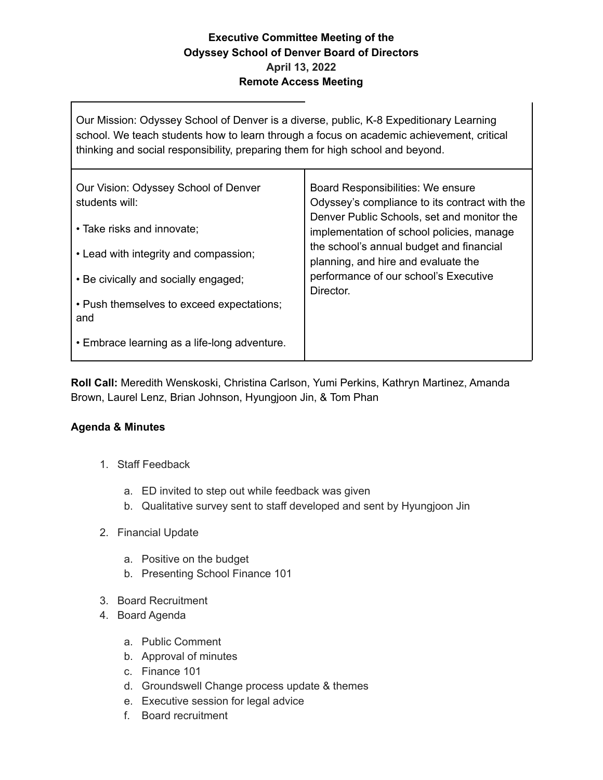## **Executive Committee Meeting of the Odyssey School of Denver Board of Directors April 13, 2022 Remote Access Meeting**

Our Mission: Odyssey School of Denver is a diverse, public, K-8 Expeditionary Learning school. We teach students how to learn through a focus on academic achievement, critical thinking and social responsibility, preparing them for high school and beyond.

| Our Vision: Odyssey School of Denver<br>students will: | Board Responsibilities: We ensure<br>Odyssey's compliance to its contract with the<br>Denver Public Schools, set and monitor the<br>implementation of school policies, manage<br>the school's annual budget and financial<br>planning, and hire and evaluate the<br>performance of our school's Executive<br>Director. |
|--------------------------------------------------------|------------------------------------------------------------------------------------------------------------------------------------------------------------------------------------------------------------------------------------------------------------------------------------------------------------------------|
| • Take risks and innovate;                             |                                                                                                                                                                                                                                                                                                                        |
| • Lead with integrity and compassion;                  |                                                                                                                                                                                                                                                                                                                        |
| • Be civically and socially engaged;                   |                                                                                                                                                                                                                                                                                                                        |
| • Push themselves to exceed expectations;<br>and       |                                                                                                                                                                                                                                                                                                                        |
| • Embrace learning as a life-long adventure.           |                                                                                                                                                                                                                                                                                                                        |

**Roll Call:** Meredith Wenskoski, Christina Carlson, Yumi Perkins, Kathryn Martinez, Amanda Brown, Laurel Lenz, Brian Johnson, Hyungjoon Jin, & Tom Phan

## **Agenda & Minutes**

- 1. Staff Feedback
	- a. ED invited to step out while feedback was given
	- b. Qualitative survey sent to staff developed and sent by Hyungjoon Jin
- 2. Financial Update
	- a. Positive on the budget
	- b. Presenting School Finance 101
- 3. Board Recruitment
- 4. Board Agenda
	- a. Public Comment
	- b. Approval of minutes
	- c. Finance 101
	- d. Groundswell Change process update & themes
	- e. Executive session for legal advice
	- f. Board recruitment